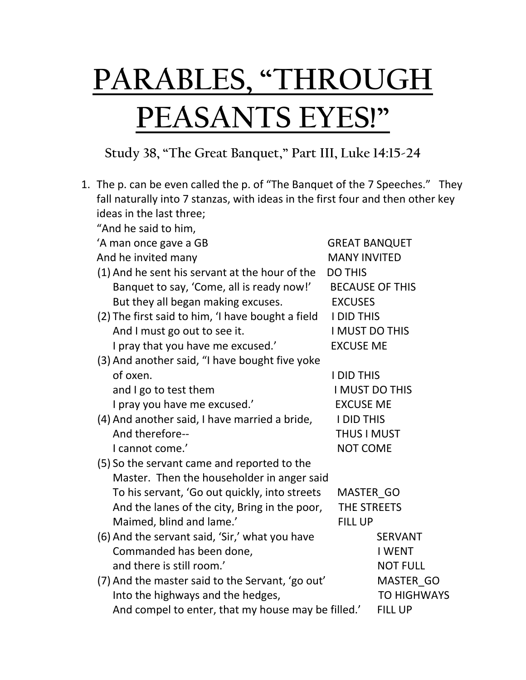## **PARABLES, "THROUGH PEASANTS EYES!"**

## **Study 38, "The Great Banquet," Part III, Luke 14:15-24**

|  | 1. The p. can be even called the p. of "The Banquet of the 7 Speeches." They   |                      |                        |  |
|--|--------------------------------------------------------------------------------|----------------------|------------------------|--|
|  | fall naturally into 7 stanzas, with ideas in the first four and then other key |                      |                        |  |
|  | ideas in the last three;                                                       |                      |                        |  |
|  | "And he said to him,                                                           |                      |                        |  |
|  | 'A man once gave a GB                                                          | <b>GREAT BANQUET</b> |                        |  |
|  | And he invited many                                                            | <b>MANY INVITED</b>  |                        |  |
|  | (1) And he sent his servant at the hour of the<br><b>DO THIS</b>               |                      |                        |  |
|  | Banquet to say, 'Come, all is ready now!'                                      |                      | <b>BECAUSE OF THIS</b> |  |
|  | But they all began making excuses.                                             | <b>EXCUSES</b>       |                        |  |
|  | (2) The first said to him, 'I have bought a field                              | <b>I DID THIS</b>    |                        |  |
|  | And I must go out to see it.                                                   | I MUST DO THIS       |                        |  |
|  | I pray that you have me excused.'                                              | <b>EXCUSE ME</b>     |                        |  |
|  | (3) And another said, "I have bought five yoke                                 |                      |                        |  |
|  | of oxen.                                                                       | <b>I DID THIS</b>    |                        |  |
|  | and I go to test them                                                          | I MUST DO THIS       |                        |  |
|  | I pray you have me excused.'                                                   | <b>EXCUSE ME</b>     |                        |  |
|  | (4) And another said, I have married a bride,                                  | <b>I DID THIS</b>    |                        |  |
|  | And therefore--                                                                | <b>THUS I MUST</b>   |                        |  |
|  | I cannot come.'                                                                | <b>NOT COME</b>      |                        |  |
|  | (5) So the servant came and reported to the                                    |                      |                        |  |
|  | Master. Then the householder in anger said                                     |                      |                        |  |
|  | To his servant, 'Go out quickly, into streets                                  | MASTER GO            |                        |  |
|  | And the lanes of the city, Bring in the poor,                                  | THE STREETS          |                        |  |
|  | Maimed, blind and lame.'                                                       | <b>FILL UP</b>       |                        |  |
|  | (6) And the servant said, 'Sir,' what you have                                 |                      | <b>SERVANT</b>         |  |
|  | Commanded has been done,                                                       |                      | <b>I WENT</b>          |  |
|  | and there is still room.'                                                      |                      | <b>NOT FULL</b>        |  |
|  | (7) And the master said to the Servant, 'go out'                               |                      | MASTER GO              |  |
|  | Into the highways and the hedges,                                              |                      | <b>TO HIGHWAYS</b>     |  |
|  | And compel to enter, that my house may be filled.'                             |                      | <b>FILL UP</b>         |  |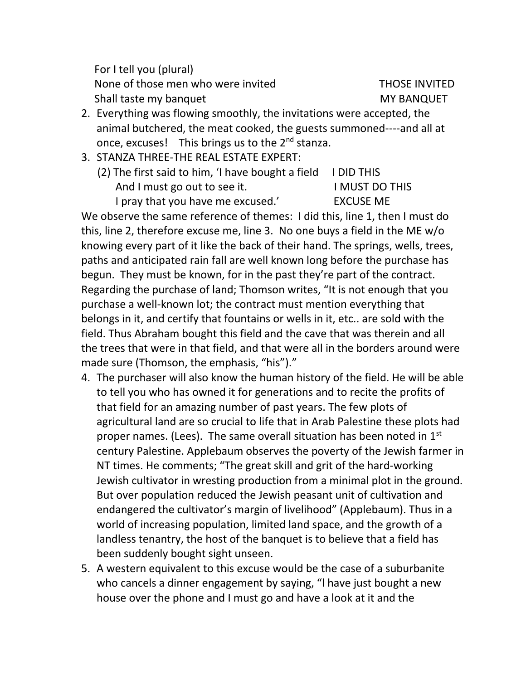For I tell you (plural) None of those men who were invited THOSE INVITED Shall taste my banquet MY BANQUET

- 2. Everything was flowing smoothly, the invitations were accepted, the
- animal butchered, the meat cooked, the guests summoned----and all at once, excuses! This brings us to the 2<sup>nd</sup> stanza.
- 3. STANZA THREE-THE REAL ESTATE EXPERT:
	- (2) The first said to him, 'I have bought a field I DID THIS And I must go out to see it. I MUST DO THIS I pray that you have me excused.' EXCUSE ME

We observe the same reference of themes: I did this, line 1, then I must do this, line 2, therefore excuse me, line 3. No one buys a field in the ME w/o knowing every part of it like the back of their hand. The springs, wells, trees, paths and anticipated rain fall are well known long before the purchase has begun. They must be known, for in the past they're part of the contract. Regarding the purchase of land; Thomson writes, "It is not enough that you purchase a well-known lot; the contract must mention everything that belongs in it, and certify that fountains or wells in it, etc.. are sold with the field. Thus Abraham bought this field and the cave that was therein and all the trees that were in that field, and that were all in the borders around were made sure (Thomson, the emphasis, "his")."

- 4. The purchaser will also know the human history of the field. He will be able to tell you who has owned it for generations and to recite the profits of that field for an amazing number of past years. The few plots of agricultural land are so crucial to life that in Arab Palestine these plots had proper names. (Lees). The same overall situation has been noted in 1<sup>st</sup> century Palestine. Applebaum observes the poverty of the Jewish farmer in NT times. He comments; "The great skill and grit of the hard-working Jewish cultivator in wresting production from a minimal plot in the ground. But over population reduced the Jewish peasant unit of cultivation and endangered the cultivator's margin of livelihood" (Applebaum). Thus in a world of increasing population, limited land space, and the growth of a landless tenantry, the host of the banquet is to believe that a field has been suddenly bought sight unseen.
- 5. A western equivalent to this excuse would be the case of a suburbanite who cancels a dinner engagement by saying, "I have just bought a new house over the phone and I must go and have a look at it and the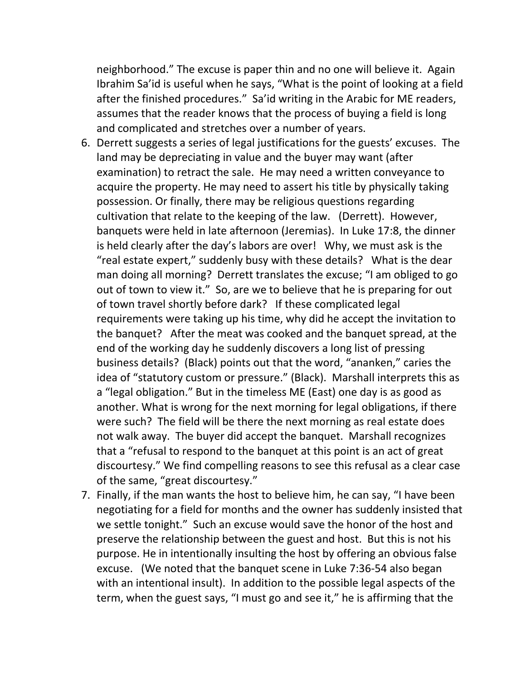neighborhood." The excuse is paper thin and no one will believe it. Again Ibrahim Sa'id is useful when he says, "What is the point of looking at a field after the finished procedures." Sa'id writing in the Arabic for ME readers, assumes that the reader knows that the process of buying a field is long and complicated and stretches over a number of years.

- 6. Derrett suggests a series of legal justifications for the guests' excuses. The land may be depreciating in value and the buyer may want (after examination) to retract the sale. He may need a written conveyance to acquire the property. He may need to assert his title by physically taking possession. Or finally, there may be religious questions regarding cultivation that relate to the keeping of the law. (Derrett). However, banquets were held in late afternoon (Jeremias). In Luke 17:8, the dinner is held clearly after the day's labors are over! Why, we must ask is the "real estate expert," suddenly busy with these details? What is the dear man doing all morning? Derrett translates the excuse; "I am obliged to go out of town to view it." So, are we to believe that he is preparing for out of town travel shortly before dark? If these complicated legal requirements were taking up his time, why did he accept the invitation to the banquet? After the meat was cooked and the banquet spread, at the end of the working day he suddenly discovers a long list of pressing business details? (Black) points out that the word, "ananken," caries the idea of "statutory custom or pressure." (Black). Marshall interprets this as a "legal obligation." But in the timeless ME (East) one day is as good as another. What is wrong for the next morning for legal obligations, if there were such? The field will be there the next morning as real estate does not walk away. The buyer did accept the banquet. Marshall recognizes that a "refusal to respond to the banquet at this point is an act of great discourtesy." We find compelling reasons to see this refusal as a clear case of the same, "great discourtesy."
- 7. Finally, if the man wants the host to believe him, he can say, "I have been negotiating for a field for months and the owner has suddenly insisted that we settle tonight." Such an excuse would save the honor of the host and preserve the relationship between the guest and host. But this is not his purpose. He in intentionally insulting the host by offering an obvious false excuse. (We noted that the banquet scene in Luke 7:36-54 also began with an intentional insult). In addition to the possible legal aspects of the term, when the guest says, "I must go and see it," he is affirming that the